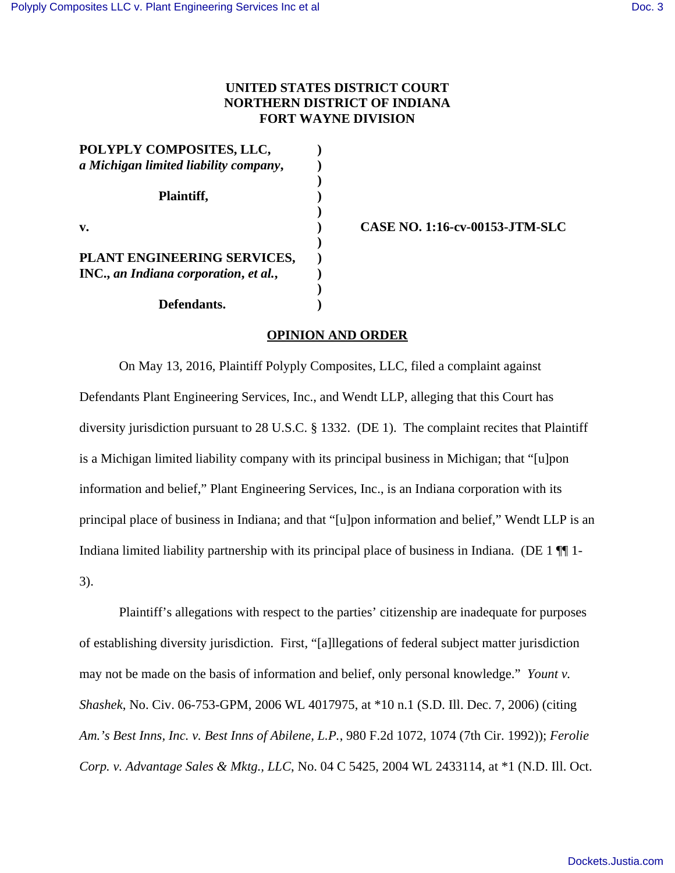## **UNITED STATES DISTRICT COURT NORTHERN DISTRICT OF INDIANA FORT WAYNE DIVISION**

| POLYPLY COMPOSITES, LLC,              |  |
|---------------------------------------|--|
| a Michigan limited liability company, |  |
| Plaintiff,                            |  |
| v.                                    |  |
| PLANT ENGINEERING SERVICES,           |  |
| INC., an Indiana corporation, et al., |  |
|                                       |  |
| Defendants.                           |  |

**v. ) CASE NO. 1:16-cv-00153-JTM-SLC**

## **OPINION AND ORDER**

On May 13, 2016, Plaintiff Polyply Composites, LLC, filed a complaint against Defendants Plant Engineering Services, Inc., and Wendt LLP, alleging that this Court has diversity jurisdiction pursuant to 28 U.S.C. § 1332. (DE 1). The complaint recites that Plaintiff is a Michigan limited liability company with its principal business in Michigan; that "[u]pon information and belief," Plant Engineering Services, Inc., is an Indiana corporation with its principal place of business in Indiana; and that "[u]pon information and belief," Wendt LLP is an Indiana limited liability partnership with its principal place of business in Indiana. (DE 1 ¶¶ 1- 3).

Plaintiff's allegations with respect to the parties' citizenship are inadequate for purposes of establishing diversity jurisdiction. First, "[a]llegations of federal subject matter jurisdiction may not be made on the basis of information and belief, only personal knowledge." *Yount v. Shashek*, No. Civ. 06-753-GPM, 2006 WL 4017975, at \*10 n.1 (S.D. Ill. Dec. 7, 2006) (citing *Am.'s Best Inns, Inc. v. Best Inns of Abilene, L.P.*, 980 F.2d 1072, 1074 (7th Cir. 1992)); *Ferolie Corp. v. Advantage Sales & Mktg., LLC*, No. 04 C 5425, 2004 WL 2433114, at \*1 (N.D. Ill. Oct.